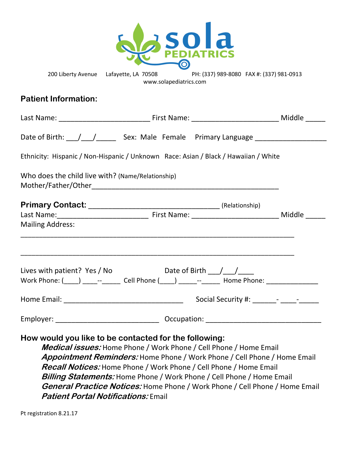

200 Liberty Avenue Lafayette, LA 70508 PH: (337) 989-8080 FAX #: (337) 981-0913 www.solapediatrics.com

## **Patient Information:**

|                                                                                     | Date of Birth: \[\sqrt{\bmg \sqrt{\bmg \sqrt{\bmg \sqrt{\bmg}}}\$ \cdots: Male Female Primary Language \] |  |  |  |  |  |  |  |  |
|-------------------------------------------------------------------------------------|-----------------------------------------------------------------------------------------------------------|--|--|--|--|--|--|--|--|
| Ethnicity: Hispanic / Non-Hispanic / Unknown Race: Asian / Black / Hawaiian / White |                                                                                                           |  |  |  |  |  |  |  |  |
| Who does the child live with? (Name/Relationship)                                   |                                                                                                           |  |  |  |  |  |  |  |  |
|                                                                                     |                                                                                                           |  |  |  |  |  |  |  |  |
|                                                                                     |                                                                                                           |  |  |  |  |  |  |  |  |
| <b>Mailing Address:</b>                                                             |                                                                                                           |  |  |  |  |  |  |  |  |
|                                                                                     | Work Phone: (____) _____--______ Cell Phone (____) ______--______ Home Phone: _______________             |  |  |  |  |  |  |  |  |
|                                                                                     |                                                                                                           |  |  |  |  |  |  |  |  |
|                                                                                     |                                                                                                           |  |  |  |  |  |  |  |  |

**How would you like to be contacted for the following:** 

**Medical issues:** Home Phone / Work Phone / Cell Phone / Home Email **Appointment Reminders:** Home Phone / Work Phone / Cell Phone / Home Email **Recall Notices:** Home Phone / Work Phone / Cell Phone / Home Email **Billing Statements:** Home Phone / Work Phone / Cell Phone / Home Email **General Practice Notices:** Home Phone / Work Phone / Cell Phone / Home Email **Patient Portal Notifications:** Email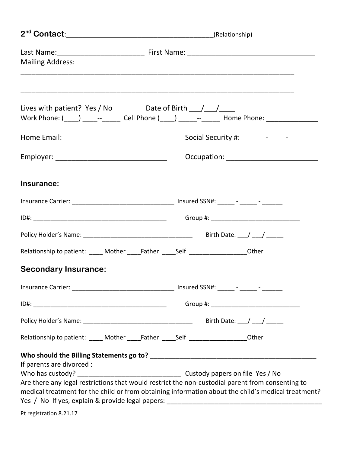| <b>Mailing Address:</b>     |  |                                                                                                                                                                                                        |  |  |  |  |
|-----------------------------|--|--------------------------------------------------------------------------------------------------------------------------------------------------------------------------------------------------------|--|--|--|--|
|                             |  |                                                                                                                                                                                                        |  |  |  |  |
|                             |  | Work Phone: (\but___) \dots _-- \dots _- \dots _- Cell Phone (\but__) \dots _--- _- _- Home Phone: \dots _-                                                                                            |  |  |  |  |
|                             |  |                                                                                                                                                                                                        |  |  |  |  |
|                             |  |                                                                                                                                                                                                        |  |  |  |  |
| Insurance:                  |  |                                                                                                                                                                                                        |  |  |  |  |
|                             |  |                                                                                                                                                                                                        |  |  |  |  |
|                             |  |                                                                                                                                                                                                        |  |  |  |  |
|                             |  |                                                                                                                                                                                                        |  |  |  |  |
|                             |  | Relationship to patient: _____ Mother _____Father _____Self ___________________Other                                                                                                                   |  |  |  |  |
| <b>Secondary Insurance:</b> |  |                                                                                                                                                                                                        |  |  |  |  |
|                             |  |                                                                                                                                                                                                        |  |  |  |  |
|                             |  |                                                                                                                                                                                                        |  |  |  |  |
|                             |  |                                                                                                                                                                                                        |  |  |  |  |
|                             |  | Relationship to patient: _____ Mother _____Father _____Self ___________________Other                                                                                                                   |  |  |  |  |
| If parents are divorced :   |  | Are there any legal restrictions that would restrict the non-custodial parent from consenting to<br>medical treatment for the child or from obtaining information about the child's medical treatment? |  |  |  |  |
|                             |  |                                                                                                                                                                                                        |  |  |  |  |
| Pt registration 8.21.17     |  |                                                                                                                                                                                                        |  |  |  |  |